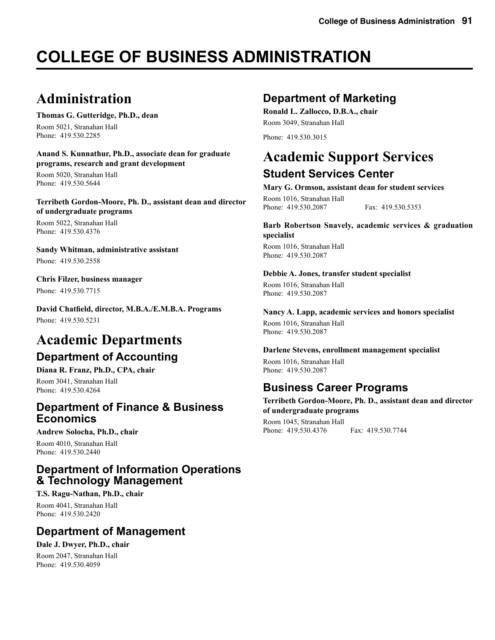# **COLLEGE OF BUSINESS ADMINISTRATION**

# **Administration**

**Thomas G. Gutteridge, Ph.D., dean**

Room 5021, Stranahan Hall Phone: 419.530.2285

**Anand S. Kunnathur, Ph.D., associate dean for graduate programs, research and grant development**

Room 5020, Stranahan Hall Phone: 419.530.5644

**Terribeth Gordon-Moore, Ph. D., assistant dean and director of undergraduate programs**

Room 5022, Stranahan Hall Phone: 419.530.4376

**Sandy Whitman, administrative assistant** Phone: 419.530.2558

**Chris Filzer, business manager** Phone: 419.530.7715

**David Chatfield, director, M.B.A./E.M.B.A. Programs** Phone: 419.530.5231

## **Academic Departments Department of Accounting**

**Diana R. Franz, Ph.D., CPA, chair** Room 3041, Stranahan Hall

Phone: 419.530.4264

### **Department of Finance & Business Economics**

**Andrew Solocha, Ph.D., chair**

Room 4010, Stranahan Hall Phone: 419.530.2440

## **Department of Information Operations & Technology Management**

### **T.S. Ragu-Nathan, Ph.D., chair**

Room 4041, Stranahan Hall Phone: 419.530.2420

## **Department of Management**

**Dale J. Dwyer, Ph.D., chair** Room 2047, Stranahan Hall

Phone: 419.530.4059

## **Department of Marketing**

**Ronald L. Zallocco, D.B.A., chair** Room 3049, Stranahan Hall

Phone: 419.530.3015

## **Academic Support Services Student Services Center**

#### **Mary G. Ormson, assistant dean for student services**

Room 1016, Stranahan Hall Phone: 419.530.2087 Fax: 419.530.5353

#### **Barb Robertson Snavely, academic services & graduation specialist**

Room 1016, Stranahan Hall Phone: 419.530.2087

#### **Debbie A. Jones, transfer student specialist**

Room 1016, Stranahan Hall Phone: 419.530.2087

#### **Nancy A. Lapp, academic services and honors specialist**

Room 1016, Stranahan Hall Phone: 419.530.2087

#### **Darlene Stevens, enrollment management specialist**

Room 1016, Stranahan Hall Phone: 419.530.2087

## **Business Career Programs**

**Terribeth Gordon-Moore, Ph. D., assistant dean and director of undergraduate programs** Room 1045, Stranahan Hall Phone: 419.530.4376 Fax: 419.530.7744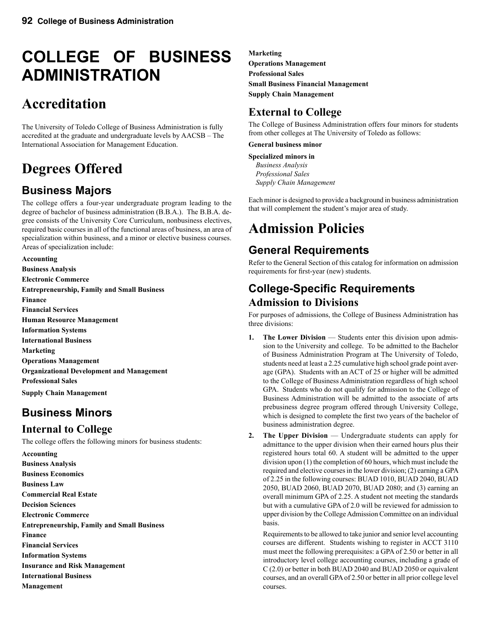# **COLLEGE OF BUSINESS ADMINISTRATION**

# **Accreditation**

The University of Toledo College of Business Administration is fully accredited at the graduate and undergraduate levels by AACSB – The International Association for Management Education.

# **Degrees Offered**

## **Business Majors**

The college offers a four-year undergraduate program leading to the degree of bachelor of business administration (B.B.A.). The B.B.A. degree consists of the University Core Curriculum, nonbusiness electives, required basic courses in all of the functional areas of business, an area of specialization within business, and a minor or elective business courses. Areas of specialization include:

**Accounting Business Analysis Electronic Commerce Entrepreneurship, Family and Small Business Finance Financial Services Human Resource Management Information Systems International Business Marketing Operations Management Organizational Development and Management Professional Sales Supply Chain Management**

## **Business Minors**

## **Internal to College**

The college offers the following minors for business students:

**Accounting Business Analysis Business Economics Business Law Commercial Real Estate Decision Sciences Electronic Commerce Entrepreneurship, Family and Small Business Finance Financial Services Information Systems Insurance and Risk Management International Business Management**

**Marketing Operations Management Professional Sales Small Business Financial Management Supply Chain Management**

## **External to College**

The College of Business Administration offers four minors for students from other colleges at The University of Toledo as follows:

**General business minor**

**Specialized minors in** *Business Analysis Professional Sales Supply Chain Management*

Each minor is designed to provide a background in business administration that will complement the student's major area of study.

# **Admission Policies**

## **General Requirements**

Refer to the General Section of this catalog for information on admission requirements for first-year (new) students.

## **College-Specific Requirements Admission to Divisions**

For purposes of admissions, the College of Business Administration has three divisions:

- **1. The Lower Division** Students enter this division upon admission to the University and college. To be admitted to the Bachelor of Business Administration Program at The University of Toledo, students need at least a 2.25 cumulative high school grade point average (GPA). Students with an ACT of 25 or higher will be admitted to the College of Business Administration regardless of high school GPA. Students who do not qualify for admission to the College of Business Administration will be admitted to the associate of arts prebusiness degree program offered through University College, which is designed to complete the first two years of the bachelor of business administration degree.
- **2. The Upper Division** Undergraduate students can apply for admittance to the upper division when their earned hours plus their registered hours total 60. A student will be admitted to the upper division upon (1) the completion of 60 hours, which must include the required and elective courses in the lower division; (2) earning a GPA of 2.25 in the following courses: BUAD 1010, BUAD 2040, BUAD 2050, BUAD 2060, BUAD 2070, BUAD 2080; and (3) earning an overall minimum GPA of 2.25. A student not meeting the standards but with a cumulative GPA of 2.0 will be reviewed for admission to upper division by the College Admission Committee on an individual basis.

 Requirements to be allowed to take junior and senior level accounting courses are different. Students wishing to register in ACCT 3110 must meet the following prerequisites: a GPA of 2.50 or better in all introductory level college accounting courses, including a grade of C (2.0) or better in both BUAD 2040 and BUAD 2050 or equivalent courses, and an overall GPA of 2.50 or better in all prior college level courses.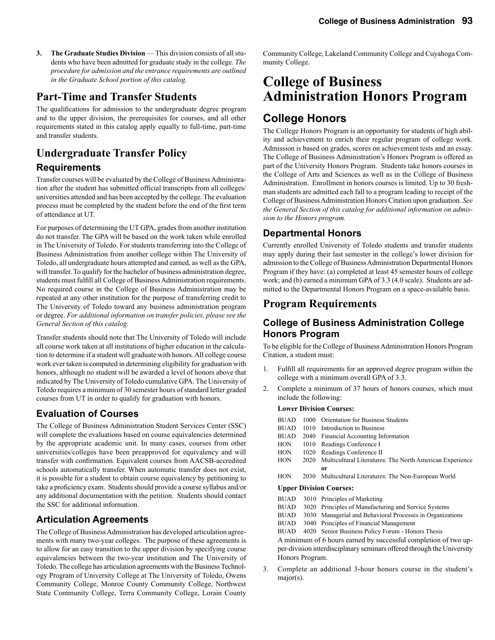**3.** The Graduate Studies Division — This division consists of all students who have been admitted for graduate study in the college. *The procedure for admission and the entrance requirements are outlined in the Graduate School portion of this catalog.*

### **Part-Time and Transfer Students**

The qualifications for admission to the undergraduate degree program and to the upper division, the prerequisites for courses, and all other requirements stated in this catalog apply equally to full-time, part-time and transfer students.

## **Undergraduate Transfer Policy Requirements**

Transfer courses will be evaluated by the College of Business Administration after the student has submitted official transcripts from all colleges/ universities attended and has been accepted by the college. The evaluation process must be completed by the student before the end of the first term of attendance at UT.

For purposes of determining the UT GPA, grades from another institution do not transfer. The GPA will be based on the work taken while enrolled in The University of Toledo. For students transferring into the College of Business Administration from another college within The University of Toledo, all undergraduate hours attempted and earned, as well as the GPA, will transfer. To qualify for the bachelor of business administration degree, students must fulfill all College of Business Administration requirements. No required course in the College of Business Administration may be repeated at any other institution for the purpose of transferring credit to The University of Toledo toward any business administration program or degree. *For additional information on transfer policies, please see the General Section of this catalog.*

Transfer students should note that The University of Toledo will include all course work taken at all institutions of higher education in the calculation to determine if a student will graduate with honors. All college course work ever taken is computed in determining eligibility for graduation with honors, although no student will be awarded a level of honors above that indicated by The University of Toledo cumulative GPA. The University of Toledo requires a minimum of 30 semester hours of standard letter graded courses from UT in order to qualify for graduation with honors.

### **Evaluation of Courses**

The College of Business Administration Student Services Center (SSC) will complete the evaluations based on course equivalencies determined by the appropriate academic unit. In many cases, courses from other universities/colleges have been preapproved for equivalency and will transfer with confirmation. Equivalent courses from AACSB-accredited schools automatically transfer. When automatic transfer does not exist, it is possible for a student to obtain course equivalency by petitioning to take a proficiency exam. Students should provide a course syllabus and/or any additional documentation with the petition. Students should contact the SSC for additional information.

### **Articulation Agreements**

The College of Business Administration has developed articulation agreements with many two-year colleges. The purpose of these agreements is to allow for an easy transition to the upper division by specifying course equivalencies between the two-year institution and The University of Toledo. The college has articulation agreements with the Business Technology Program of University College at The University of Toledo, Owens Community College, Monroe County Community College, Northwest State Community College, Terra Community College, Lorain County Community College, Lakeland Community College and Cuyahoga Community College.

# **College of Business Administration Honors Program**

## **College Honors**

The College Honors Program is an opportunity for students of high ability and achievement to enrich their regular program of college work. Admission is based on grades, scores on achievement tests and an essay. The College of Business Administration's Honors Program is offered as part of the University Honors Program. Students take honors courses in the College of Arts and Sciences as well as in the College of Business Administration. Enrollment in honors courses is limited. Up to 30 freshman students are admitted each fall to a program leading to receipt of the College of Business Administration Honors Citation upon graduation. *See the General Section of this catalog for additional information on admission to the Honors program.*

### **Departmental Honors**

Currently enrolled University of Toledo students and transfer students may apply during their last semester in the college's lower division for admission to the College of Business Administration Departmental Honors Program if they have: (a) completed at least 45 semester hours of college work; and (b) earned a minimum GPA of 3.3 (4.0 scale). Students are admitted to the Departmental Honors Program on a space-available basis.

### **Program Requirements**

### **College of Business Administration College Honors Program**

To be eligible for the College of Business Administration Honors Program Citation, a student must:

- 1. Fulfill all requirements for an approved degree program within the college with a minimum overall GPA of 3.3.
- 2. Complete a minimum of 37 hours of honors courses, which must include the following:

#### **Lower Division Courses:**

| <b>BUAD</b> | 1000 | <b>Orientation for Business Students</b>                        |
|-------------|------|-----------------------------------------------------------------|
|             |      |                                                                 |
| <b>BUAD</b> | 1010 | Introduction to Business                                        |
| <b>BUAD</b> | 2040 | Financial Accounting Information                                |
| HON         | 1010 | Readings Conference I                                           |
| HON         | 1020 | Readings Conference II                                          |
| <b>HON</b>  | 2020 | Multicultural Literatures: The North American Experience        |
|             |      | or                                                              |
| <b>HON</b>  |      | 2030 Multicultural Literatures: The Non-European World          |
|             |      | <b>Upper Division Courses:</b>                                  |
| <b>BUAD</b> |      | 3010 Principles of Marketing                                    |
| <b>BUAD</b> |      | 3020 Principles of Manufacturing and Service Systems            |
| BUAD        |      | 3030 Managerial and Behavioral Processes in Organizations       |
| BUAD        |      | 3040 Principles of Financial Management                         |
| BUAD        |      | 4020 Senior Business Policy Forum - Honors Thesis               |
|             |      | A minimum of C bound comed by measurable completion of two con- |

A minimum of 6 hours earned by successful completion of two upper-division interdisciplinary seminars offered through the University Honors Program.

3. Complete an additional 3-hour honors course in the student's major(s).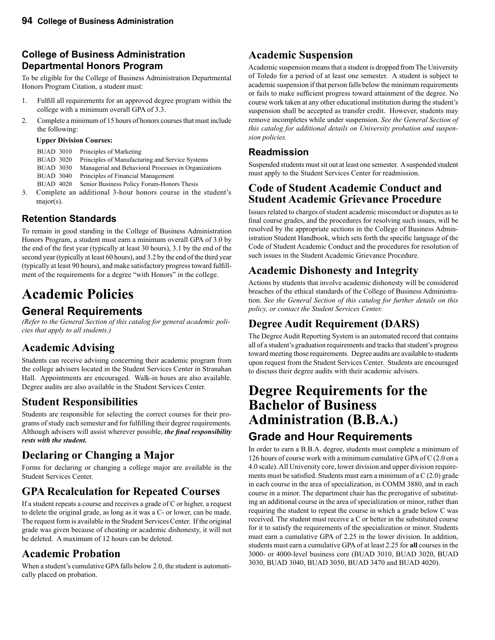### **College of Business Administration Departmental Honors Program**

To be eligible for the College of Business Administration Departmental Honors Program Citation, a student must:

- 1. Fulfill all requirements for an approved degree program within the college with a minimum overall GPA of 3.3.
- 2. Complete a minimum of 15 hours of honors courses that must include the following:

#### **Upper Division Courses:**

| <b>BUAD 3010</b> | Principles of Marketing                                   |
|------------------|-----------------------------------------------------------|
| <b>BUAD 3020</b> | Principles of Manufacturing and Service Systems           |
| <b>BUAD 3030</b> | Managerial and Behavioral Processes in Organizations      |
| <b>BUAD 3040</b> | Principles of Financial Management                        |
| <b>BUAD 4020</b> | Senior Business Policy Forum-Honors Thesis                |
|                  | Complete on additional 2 hour honors course in the studes |

3. Complete an additional 3-hour honors course in the student's major(s).

## **Retention Standards**

To remain in good standing in the College of Business Administration Honors Program, a student must earn a minimum overall GPA of 3.0 by the end of the first year (typically at least 30 hours), 3.1 by the end of the second year (typically at least 60 hours), and 3.2 by the end of the third year (typically at least 90 hours), and make satisfactory progress toward fulfillment of the requirements for a degree "with Honors" in the college.

# **Academic Policies**

## **General Requirements**

*(Refer to the General Section of this catalog for general academic policies that apply to all students.)*

## **Academic Advising**

Students can receive advising concerning their academic program from the college advisers located in the Student Services Center in Stranahan Hall. Appointments are encouraged. Walk-in hours are also available. Degree audits are also available in the Student Services Center.

## **Student Responsibilities**

Students are responsible for selecting the correct courses for their programs of study each semester and for fulfilling their degree requirements. Although advisers will assist wherever possible, *the final responsibility rests with the student.*

## **Declaring or Changing a Major**

Forms for declaring or changing a college major are available in the Student Services Center.

## **GPA Recalculation for Repeated Courses**

If a student repeats a course and receives a grade of C or higher, a request to delete the original grade, as long as it was a C- or lower, can be made. The request form is available in the Student Services Center. If the original grade was given because of cheating or academic dishonesty, it will not be deleted. A maximum of 12 hours can be deleted.

## **Academic Probation**

When a student's cumulative GPA falls below 2.0, the student is automatically placed on probation.

## **Academic Suspension**

Academic suspension means that a student is dropped from The University of Toledo for a period of at least one semester. A student is subject to academic suspension if that person falls below the minimum requirements or fails to make sufficient progress toward attainment of the degree. No course work taken at any other educational institution during the student's suspension shall be accepted as transfer credit. However, students may remove incompletes while under suspension. *See the General Section of this catalog for additional details on University probation and suspension policies.*

### **Readmission**

Suspended students must sit out at least one semester. A suspended student must apply to the Student Services Center for readmission.

## **Code of Student Academic Conduct and Student Academic Grievance Procedure**

Issues related to charges of student academic misconduct or disputes as to final course grades, and the procedures for resolving such issues, will be resolved by the appropriate sections in the College of Business Administration Student Handbook, which sets forth the specific language of the Code of Student Academic Conduct and the procedures for resolution of such issues in the Student Academic Grievance Procedure.

## **Academic Dishonesty and Integrity**

Actions by students that involve academic dishonesty will be considered breaches of the ethical standards of the College of Business Administration. *See the General Section of this catalog for further details on this policy, or contact the Student Services Center.*

## **Degree Audit Requirement (DARS)**

The Degree Audit Reporting System is an automated record that contains all of a student's graduation requirements and tracks that student's progress toward meeting those requirements. Degree audits are available to students upon request from the Student Services Center. Students are encouraged to discuss their degree audits with their academic advisers.

## **Degree Requirements for the Bachelor of Business Administration (B.B.A.) Grade and Hour Requirements**

In order to earn a B.B.A. degree, students must complete a minimum of 126 hours of course work with a minimum cumulative GPA of C (2.0 on a 4.0 scale). All University core, lower division and upper division requirements must be satisfied. Students must earn a minimum of a  $C(2.0)$  grade in each course in the area of specialization, in COMM 3880, and in each course in a minor. The department chair has the prerogative of substituting an additional course in the area of specialization or minor, rather than requiring the student to repeat the course in which a grade below C was received. The student must receive a C or better in the substituted course for it to satisfy the requirements of the specialization or minor. Students must earn a cumulative GPA of 2.25 in the lower division. In addition, students must earn a cumulative GPA of at least 2.25 for **all** courses in the 3000- or 4000-level business core (BUAD 3010, BUAD 3020, BUAD 3030, BUAD 3040, BUAD 3050, BUAD 3470 and BUAD 4020).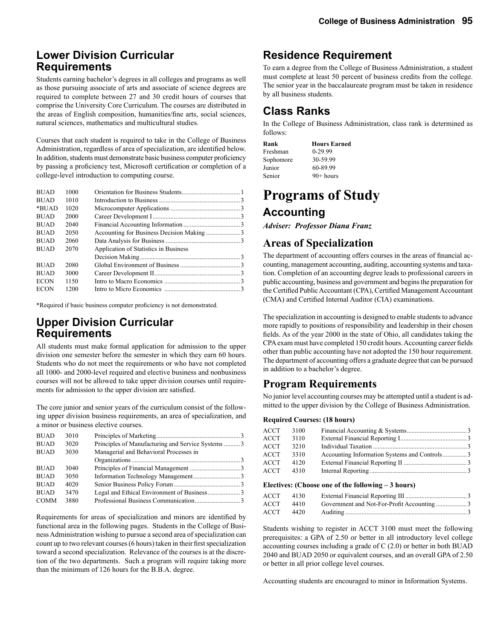### **Lower Division Curricular Requirements**

Students earning bachelor's degrees in all colleges and programs as well as those pursuing associate of arts and associate of science degrees are required to complete between 27 and 30 credit hours of courses that comprise the University Core Curriculum. The courses are distributed in the areas of English composition, humanities/fine arts, social sciences, natural sciences, mathematics and multicultural studies.

Courses that each student is required to take in the College of Business Administration, regardless of area of specialization, are identified below. In addition, students must demonstrate basic business computer proficiency by passing a proficiency test, Microsoft certification or completion of a college-level introduction to computing course.

| <b>BUAD</b> | 1000 |                                       |  |
|-------------|------|---------------------------------------|--|
| <b>BUAD</b> | 1010 |                                       |  |
| *BUAD       | 1020 |                                       |  |
| <b>BUAD</b> | 2000 |                                       |  |
| <b>BUAD</b> | 2040 |                                       |  |
| <b>BUAD</b> | 2050 |                                       |  |
| <b>BUAD</b> | 2060 |                                       |  |
| <b>BUAD</b> | 2070 | Application of Statistics in Business |  |
|             |      |                                       |  |
| <b>BUAD</b> | 2080 |                                       |  |
| <b>BUAD</b> | 3000 |                                       |  |
| <b>ECON</b> | 1150 |                                       |  |
| <b>ECON</b> | 1200 |                                       |  |
|             |      |                                       |  |

\*Required if basic business computer proficiency is not demonstrated.

## **Upper Division Curricular Requirements**

All students must make formal application for admission to the upper division one semester before the semester in which they earn 60 hours. Students who do not meet the requirements or who have not completed all 1000- and 2000-level required and elective business and nonbusiness courses will not be allowed to take upper division courses until requirements for admission to the upper division are satisfied.

The core junior and senior years of the curriculum consist of the following upper division business requirements, an area of specialization, and a minor or business elective courses.

| <b>BUAD</b> | 3010 |                                                    |  |
|-------------|------|----------------------------------------------------|--|
| <b>BUAD</b> | 3020 | Principles of Manufacturing and Service Systems  3 |  |
| <b>BUAD</b> | 3030 | Managerial and Behavioral Processes in             |  |
|             |      |                                                    |  |
| <b>BUAD</b> | 3040 |                                                    |  |
| <b>BUAD</b> | 3050 |                                                    |  |
| <b>BUAD</b> | 4020 |                                                    |  |
| <b>BUAD</b> | 3470 |                                                    |  |
| <b>COMM</b> | 3880 |                                                    |  |

Requirements for areas of specialization and minors are identified by functional area in the following pages. Students in the College of Business Administration wishing to pursue a second area of specialization can count up to two relevant courses (6 hours) taken in their first specialization toward a second specialization. Relevance of the courses is at the discretion of the two departments. Such a program will require taking more than the minimum of 126 hours for the B.B.A. degree.

## **Residence Requirement**

To earn a degree from the College of Business Administration, a student must complete at least 50 percent of business credits from the college. The senior year in the baccalaureate program must be taken in residence by all business students.

## **Class Ranks**

In the College of Business Administration, class rank is determined as follows:

| Rank      | <b>Hours Earned</b> |
|-----------|---------------------|
| Freshman  | $0-29.99$           |
| Sophomore | 30-59.99            |
| Junior    | 60-89.99            |
| Senior    | $90+$ hours         |

## **Programs of Study Accounting**

*Adviser: Professor Diana Franz* 

### **Areas of Specialization**

The department of accounting offers courses in the areas of financial accounting, management accounting, auditing, accounting systems and taxation. Completion of an accounting degree leads to professional careers in public accounting, business and government and begins the preparation for the Certified Public Accountant (CPA), Certified Management Accountant (CMA) and Certified Internal Auditor (CIA) examinations.

The specialization in accounting is designed to enable students to advance more rapidly to positions of responsibility and leadership in their chosen fields. As of the year 2000 in the state of Ohio, all candidates taking the CPA exam must have completed 150 credit hours. Accounting career fields other than public accounting have not adopted the 150 hour requirement. The department of accounting offers a graduate degree that can be pursued in addition to a bachelor's degree.

## **Program Requirements**

No junior level accounting courses may be attempted until a student is admitted to the upper division by the College of Business Administration.

#### **Required Courses: (18 hours)**

| ACCT | 3100 |  |
|------|------|--|
| ACCT | 3110 |  |
| ACCT | 3210 |  |
| ACCT | 3310 |  |
| ACCT | 4120 |  |
| ACCT | 4310 |  |
|      |      |  |

#### **Electives: (Choose one of the following – 3 hours)**

| ACCT 4130 |           |  |
|-----------|-----------|--|
|           | ACCT 4410 |  |
|           |           |  |

Students wishing to register in ACCT 3100 must meet the following prerequisites: a GPA of 2.50 or better in all introductory level college accounting courses including a grade of C (2.0) or better in both BUAD 2040 and BUAD 2050 or equivalent courses, and an overall GPA of 2.50 or better in all prior college level courses.

Accounting students are encouraged to minor in Information Systems.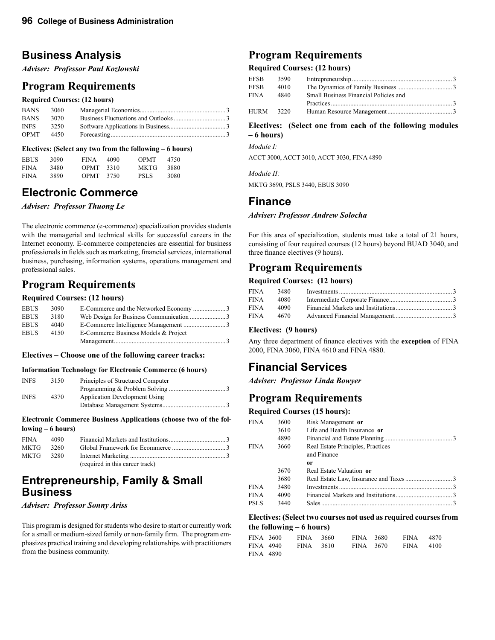## **Business Analysis**

*Adviser: Professor Paul Kozlowski*

### **Program Requirements**

#### **Required Courses: (12 hours)**

| <b>BANS</b> | 3060 |  |
|-------------|------|--|
| <b>BANS</b> | 3070 |  |
| <b>INFS</b> | 3250 |  |
| <b>OPMT</b> | 4450 |  |
|             |      |  |

#### **Electives: (Select any two from the following – 6 hours)**

| <b>EBUS</b> | 3090  | <b>FINA</b> | 4090 | <b>OPMT</b> | 4750 |
|-------------|-------|-------------|------|-------------|------|
| <b>FINA</b> | 3480. | <b>OPMT</b> | 3310 | MK TG       | 3880 |
| <b>FINA</b> | 3890  | <b>OPMT</b> | 3750 | PSL S       | 3080 |

## **Electronic Commerce**

*Adviser: Professor Thuong Le*

The electronic commerce (e-commerce) specialization provides students with the managerial and technical skills for successful careers in the Internet economy. E-commerce competencies are essential for business professionals in fields such as marketing, financial services, international business, purchasing, information systems, operations management and professional sales.

## **Program Requirements**

#### **Required Courses: (12 hours)**

| <b>EBUS</b> | 3090 |                                      |  |
|-------------|------|--------------------------------------|--|
| <b>EBUS</b> | 3180 |                                      |  |
| <b>EBUS</b> | 4040 |                                      |  |
| EBUS        | 4150 | E-Commerce Business Models & Project |  |
|             |      |                                      |  |

#### **Electives – Choose one of the following career tracks:**

#### **Information Technology for Electronic Commerce (6 hours)**

| Principles of Structured Computer    |
|--------------------------------------|
|                                      |
| <b>Application Development Using</b> |
|                                      |
| 3150<br>4370                         |

#### **Electronic Commerce Business Applications (choose two of the following – 6 hours)**

| <b>FINA</b> | 4090 |                                 |  |
|-------------|------|---------------------------------|--|
| <b>MKTG</b> | 3260 |                                 |  |
| MKTG        | 3280 |                                 |  |
|             |      | (required in this career track) |  |

### **Entrepreneurship, Family & Small Business**

#### *Adviser: Professor Sonny Ariss*

This program is designed for students who desire to start or currently work for a small or medium-sized family or non-family firm. The program emphasizes practical training and developing relationships with practitioners from the business community.

## **Program Requirements**

### **Required Courses: (12 hours)**

| EFSB | 3590 |                                       |  |
|------|------|---------------------------------------|--|
| EFSB | 4010 |                                       |  |
| FINA | 4840 | Small Business Financial Policies and |  |
|      |      | Practices 3                           |  |
| HURM | 3220 |                                       |  |

#### **Electives: (Select one from each of the following modules – 6 hours)**

*Module I:*

ACCT 3000, ACCT 3010, ACCT 3030, FINA 4890

*Module II:* 

MKTG 3690, PSLS 3440, EBUS 3090

### **Finance**

#### *Adviser: Professor Andrew Solocha*

For this area of specialization, students must take a total of 21 hours, consisting of four required courses (12 hours) beyond BUAD 3040, and three finance electives (9 hours).

## **Program Requirements**

#### **Required Courses: (12 hours)**

| FINA | 3480 |  |
|------|------|--|
| FINA | 4080 |  |
| FINA | 4090 |  |
| FINA | 4670 |  |

#### **Electives: (9 hours)**

Any three department of finance electives with the **exception** of FINA 2000, FINA 3060, FINA 4610 and FINA 4880.

## **Financial Services**

*Adviser: Professor Linda Bowyer*

## **Program Requirements**

#### **Required Courses (15 hours):**

| FINA | 3600 | Risk Management or                |  |
|------|------|-----------------------------------|--|
|      | 3610 | Life and Health Insurance or      |  |
|      | 4890 |                                   |  |
| FINA | 3660 | Real Estate Principles, Practices |  |
|      |      | and Finance                       |  |
|      |      | or                                |  |
|      | 3670 | Real Estate Valuation or          |  |
|      | 3680 |                                   |  |
| FINA | 3480 |                                   |  |
| FINA | 4090 |                                   |  |
| PSLS | 3440 |                                   |  |
|      |      |                                   |  |

#### **Electives: (Select two courses not used as required courses from the following – 6 hours)**

| FINA 3600 | FINA 3660 | FINA 3680 | <b>FINA</b> | 4870 |
|-----------|-----------|-----------|-------------|------|
| FINA 4940 | FINA 3610 | FINA 3670 | FINA 4100   |      |
| FINA 4890 |           |           |             |      |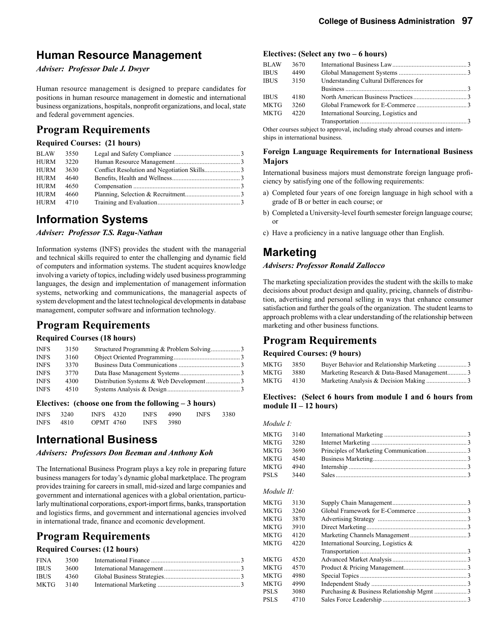## **Human Resource Management**

*Adviser: Professor Dale J. Dwyer*

Human resource management is designed to prepare candidates for positions in human resource management in domestic and international business organizations, hospitals, nonprofit organizations, and local, state and federal government agencies.

## **Program Requirements**

### **Required Courses: (21 hours)**

| <b>BLAW</b> | 3550 |  |
|-------------|------|--|
| <b>HURM</b> | 3220 |  |
| HURM        | 3630 |  |
| HURM        | 4640 |  |
| <b>HURM</b> | 4650 |  |
| HURM        | 4660 |  |
| HURM        | 4710 |  |
|             |      |  |

## **Information Systems**

#### *Adviser: Professor T.S. Ragu-Nathan*

Information systems (INFS) provides the student with the managerial and technical skills required to enter the challenging and dynamic field of computers and information systems. The student acquires knowledge involving a variety of topics, including widely used business programming languages, the design and implementation of management information systems, networking and communications, the managerial aspects of system development and the latest technological developments in database management, computer software and information technology.

### **Program Requirements**

#### **Required Courses (18 hours)**

| <b>INFS</b> | 3150 |  |
|-------------|------|--|
| <b>INFS</b> | 3160 |  |
| <b>INFS</b> | 3370 |  |
| <b>INFS</b> | 3770 |  |
| <b>INFS</b> | 4300 |  |
| <b>INFS</b> | 4510 |  |
|             |      |  |

#### **Electives: (choose one from the following – 3 hours)**

| INFS 3240 | <b>INFS</b> 4320 | INFS 4990        | <b>INFS</b> | 3380 |
|-----------|------------------|------------------|-------------|------|
| INFS 4810 | OPMT 4760        | <b>INFS</b> 3980 |             |      |

### **International Business**

*Advisers: Professors Don Beeman and Anthony Koh*

The International Business Program plays a key role in preparing future business managers for today's dynamic global marketplace. The program provides training for careers in small, mid-sized and large companies and government and international agenices with a global orientation, particularly multinational corporations, export-import firms, banks, transportation and logistics firms, and government and international agencies involved in international trade, finance and ecomonic development.

### **Program Requirements**

#### **Required Courses: (12 hours)**

| <b>FINA</b> | 3500 |  |
|-------------|------|--|
| IBUS        | 3600 |  |
| IBUS        | 4360 |  |
| MKTG        | 3140 |  |

#### **Electives: (Select any two – 6 hours)**

| <b>BLAW</b> | 3670 |                                        |  |
|-------------|------|----------------------------------------|--|
| <b>IBUS</b> | 4490 |                                        |  |
| <b>IBUS</b> | 3150 | Understanding Cultural Differences for |  |
|             |      |                                        |  |
| <b>IBUS</b> | 4180 |                                        |  |
| <b>MKTG</b> | 3260 |                                        |  |
| MKTG        | 4220 | International Sourcing, Logistics and  |  |
|             |      |                                        |  |
|             |      |                                        |  |

Other courses subject to approval, including study abroad courses and internships in international business.

#### **Foreign Language Requirements for International Business Majors**

International business majors must demonstrate foreign language proficiency by satisfying one of the following requirements:

- a) Completed four years of one foreign language in high school with a grade of B or better in each course; or
- b) Completed a University-level fourth semester foreign language course; or
- c) Have a proficiency in a native language other than English.

## **Marketing**

#### *Advisers: Professor Ronald Zallocco*

The marketing specialization provides the student with the skills to make decisions about product design and quality, pricing, channels of distribution, advertising and personal selling in ways that enhance consumer satisfaction and further the goals of the organization. The student learns to approach problems with a clear understanding of the relationship between marketing and other business functions.

### **Program Requirements**

#### **Required Courses: (9 hours)**

| MKTG | 3850 | Buyer Behavior and Relationship Marketing 3 |
|------|------|---------------------------------------------|
| MKTG | 3880 | Marketing Research & Data-Based Management3 |
| MKTG | 4130 |                                             |

#### **Electives: (Select 6 hours from module I and 6 hours from module II – 12 hours)**

*Module I:*

| MKTG 3140 |      |  |
|-----------|------|--|
| MKTG      | 3280 |  |
| MKTG      | 3690 |  |
| MKTG      | 4540 |  |
| MKTG      | 4940 |  |
| PSLS      | 3440 |  |

#### *Module II:*

| MKTG  | 3130 |                                        |  |
|-------|------|----------------------------------------|--|
| MKTG  | 3260 |                                        |  |
| MKTG  | 3870 |                                        |  |
| MKTG  | 3910 |                                        |  |
| MKTG  | 4120 |                                        |  |
| MKTG  | 4220 | International Sourcing, Logistics $\&$ |  |
|       |      |                                        |  |
| MKTG  | 4520 |                                        |  |
| MKTG  | 4570 |                                        |  |
| MKTG  | 4980 |                                        |  |
| MKTG  | 4990 |                                        |  |
| PSL S | 3080 |                                        |  |
| PSLS  | 4710 |                                        |  |
|       |      |                                        |  |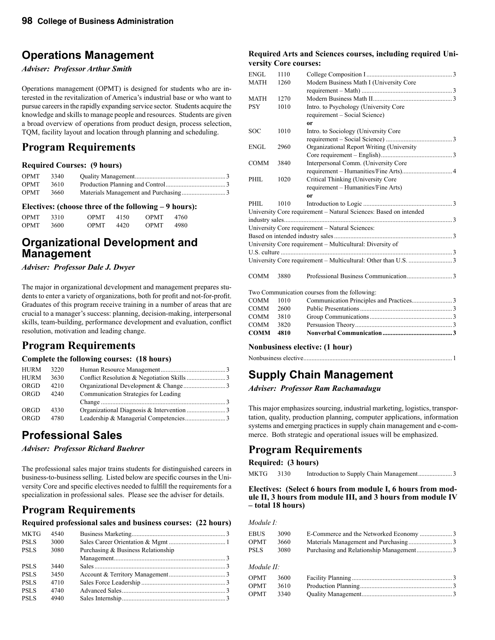## **Operations Management**

#### *Adviser: Professor Arthur Smith*

Operations management (OPMT) is designed for students who are interested in the revitalization of America's industrial base or who want to pursue careers in the rapidly expanding service sector. Students acquire the knowledge and skills to manage people and resources. Students are given a broad overview of operations from product design, process selection, TQM, facility layout and location through planning and scheduling.

## **Program Requirements**

#### **Required Courses: (9 hours)**

| OPMT        | 3340 |  |
|-------------|------|--|
| <b>OPMT</b> | 3610 |  |
| <b>OPMT</b> | 3660 |  |

#### **Electives: (choose three of the following – 9 hours):**

| <b>OPMT</b> | 3310. | <b>OPMT</b> | 4150 | <b>OPMT</b> | 4760 |
|-------------|-------|-------------|------|-------------|------|
| <b>OPMT</b> | 3600. | <b>OPMT</b> | 4420 | <b>OPMT</b> | 4980 |

## **Organizational Development and Management**

*Adviser: Professor Dale J. Dwyer*

The major in organizational development and management prepares students to enter a variety of organizations, both for profit and not-for-profit. Graduates of this program receive training in a number of areas that are crucial to a manager's success: planning, decision-making, interpersonal skills, team-building, performance development and evaluation, conflict resolution, motivation and leading change.

## **Program Requirements**

#### **Complete the following courses: (18 hours)**

| <b>HURM</b> | 3220 |                                      |  |
|-------------|------|--------------------------------------|--|
| <b>HURM</b> | 3630 |                                      |  |
| ORGD        | 4210 |                                      |  |
| <b>ORGD</b> | 4240 | Communication Strategies for Leading |  |
|             |      |                                      |  |
| ORGD        | 4330 |                                      |  |
| <b>ORGD</b> | 4780 |                                      |  |

## **Professional Sales**

*Adviser: Professor Richard Buehrer*

The professional sales major trains students for distinguished careers in business-to-business selling. Listed below are specific courses in the University Core and specific electives needed to fulfill the requirements for a specialization in professional sales. Please see the adviser for details.

## **Program Requirements**

#### **Required professional sales and business courses: (22 hours)**

| <b>MKTG</b> | 4540 |                                    |  |
|-------------|------|------------------------------------|--|
| <b>PSLS</b> | 3000 |                                    |  |
| <b>PSLS</b> | 3080 | Purchasing & Business Relationship |  |
|             |      |                                    |  |
| <b>PSLS</b> | 3440 |                                    |  |
| <b>PSLS</b> | 3450 |                                    |  |
| <b>PSLS</b> | 4710 |                                    |  |
| <b>PSLS</b> | 4740 |                                    |  |
| <b>PSLS</b> | 4940 |                                    |  |
|             |      |                                    |  |

#### **Required Arts and Sciences courses, including required University Core courses:**

| <b>ENGL</b> | 1110 |                                                                   |  |
|-------------|------|-------------------------------------------------------------------|--|
| <b>MATH</b> | 1260 | Modern Business Math I (University Core                           |  |
|             |      |                                                                   |  |
| <b>MATH</b> | 1270 |                                                                   |  |
| <b>PSY</b>  | 1010 | Intro. to Psychology (University Core                             |  |
|             |      | requirement - Social Science)                                     |  |
|             |      | 0r                                                                |  |
| <b>SOC</b>  | 1010 | Intro. to Sociology (University Core                              |  |
|             |      |                                                                   |  |
| ENGL        | 2960 | Organizational Report Writing (University                         |  |
|             |      |                                                                   |  |
| <b>COMM</b> | 3840 | Interpersonal Comm. (University Core                              |  |
|             |      |                                                                   |  |
| PHIL        | 1020 | Critical Thinking (University Core                                |  |
|             |      | requirement - Humanities/Fine Arts)                               |  |
|             |      | 0r                                                                |  |
| PHIL.       | 1010 |                                                                   |  |
|             |      | University Core requirement - Natural Sciences: Based on intended |  |
|             |      |                                                                   |  |
|             |      | University Core requirement - Natural Sciences:                   |  |
|             |      |                                                                   |  |
|             |      | University Core requirement – Multicultural: Diversity of         |  |
|             |      |                                                                   |  |
|             |      |                                                                   |  |
|             |      |                                                                   |  |
| <b>COMM</b> | 3880 |                                                                   |  |
|             |      |                                                                   |  |
|             |      | Two Communication courses from the following:                     |  |
| COMM        | 1010 |                                                                   |  |
| <b>COMM</b> | 2600 |                                                                   |  |
| COMM        | 3810 |                                                                   |  |
| COMM        | 3820 |                                                                   |  |
| <b>COMM</b> | 4810 |                                                                   |  |

#### **Nonbusiness elective: (1 hour)**

Nonbusiness elective ............................................................................................1

## **Supply Chain Management**

*Adviser: Professor Ram Rachamadugu*

This major emphasizes sourcing, industrial marketing, logistics, transportation, quality, production planning, computer applications, information systems and emerging practices in supply chain management and e-commerce. Both strategic and operational issues will be emphasized.

## **Program Requirements**

#### **Required: (3 hours)**

MKTG 3130 Introduction to Supply Chain Management .....................3

**Electives: (Select 6 hours from module I, 6 hours from module II, 3 hours from module III, and 3 hours from module IV – total 18 hours)**

#### *Module I:*

| <b>EBUS</b> | 3090 |  |
|-------------|------|--|
| <b>OPMT</b> | 3660 |  |
| PSLS        | 3080 |  |
| Module II:  |      |  |
| OPMT        | 3600 |  |
| OPMT        | 3610 |  |
| OPMT        | 3340 |  |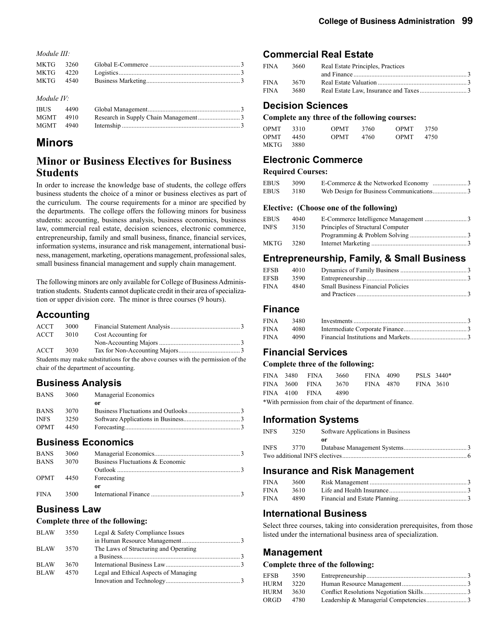*Module III:*

| MKTG 4540 |  |  |
|-----------|--|--|
|           |  |  |

#### *Module IV:*

| <b>IBUS</b> | 4490 |  |
|-------------|------|--|
| MGMT 4910   |      |  |
| MGMT 4940   |      |  |

## **Minors**

### **Minor or Business Electives for Business Students**

In order to increase the knowledge base of students, the college offers business students the choice of a minor or business electives as part of the curriculum. The course requirements for a minor are specified by the departments. The college offers the following minors for business students: accounting, business analysis, business economics, business law, commercial real estate, decision sciences, electronic commerce, entrepreneurship, family and small business, finance, financial services, information systems, insurance and risk management, international business, management, marketing, operations management, professional sales, small business financial management and supply chain management.

The following minors are only available for College of Business Administration students. Students cannot duplicate credit in their area of specialization or upper division core. The minor is three courses (9 hours).

### **Accounting**

| ACCT | 3000 |                                                                                                                                                                                                                                   |  |  |
|------|------|-----------------------------------------------------------------------------------------------------------------------------------------------------------------------------------------------------------------------------------|--|--|
| ACCT | 3010 | Cost Accounting for                                                                                                                                                                                                               |  |  |
|      |      |                                                                                                                                                                                                                                   |  |  |
| ACCT | 3030 |                                                                                                                                                                                                                                   |  |  |
|      |      | $\alpha$ . The contract of the contract of the contract of the contract of the contract of the contract of the contract of the contract of the contract of the contract of the contract of the contract of the contract of the co |  |  |

Students may make substitutions for the above courses with the permission of the chair of the department of accounting.

### **Business Analysis**

| <b>BANS</b> | 3060 | Managerial Economics |  |
|-------------|------|----------------------|--|
|             |      | or                   |  |
| <b>BANS</b> | 3070 |                      |  |
| <b>INFS</b> | 3250 |                      |  |
| <b>OPMT</b> | 4450 |                      |  |
|             |      |                      |  |

### **Business Economics**

| <b>BANS</b> | 3060 |                                  |
|-------------|------|----------------------------------|
| <b>BANS</b> | 3070 | Business Fluctuations & Economic |
|             |      |                                  |
| OPMT 4450   |      | Forecasting                      |
|             |      | or                               |
| <b>FINA</b> | 3500 |                                  |

### **Business Law**

#### **Complete three of the following:**

| <b>BLAW</b> | 3550 | Legal & Safety Compliance Issues      |  |
|-------------|------|---------------------------------------|--|
|             |      |                                       |  |
| <b>BLAW</b> | 3570 | The Laws of Structuring and Operating |  |
|             |      |                                       |  |
| BLAW        | 3670 |                                       |  |
| <b>BLAW</b> | 4570 | Legal and Ethical Aspects of Managing |  |
|             |      |                                       |  |

### **Commercial Real Estate**

| FINA | 3660 | Real Estate Principles, Practices |  |
|------|------|-----------------------------------|--|
|      |      | and Finance 3                     |  |
| FINA | 3670 |                                   |  |
| FINA | 3680 |                                   |  |

### **Decision Sciences**

#### **Complete any three of the following courses:**

| <b>OPMT</b> | 3310 | <b>OPMT</b> | 3760 | <b>OPMT</b> | 3750 |
|-------------|------|-------------|------|-------------|------|
| <b>OPMT</b> | 4450 | <b>OPMT</b> | 4760 | <b>OPMT</b> | 4750 |
| <b>MKTG</b> | 3880 |             |      |             |      |

### **Electronic Commerce**

#### **Required Courses:**

| <b>EBUS</b> | 3090 |                                         |
|-------------|------|-----------------------------------------|
| <b>EBUS</b> | 3180 |                                         |
|             |      | Elective: (Choose one of the following) |

| EBUS | 4040  |                                   |  |
|------|-------|-----------------------------------|--|
| INFS | 3150  | Principles of Structural Computer |  |
|      |       |                                   |  |
| MKTG | 32.80 |                                   |  |

### **Entrepreneurship, Family, & Small Business**

| EFSB  | 4010 |                                          |  |
|-------|------|------------------------------------------|--|
| EFSB- | 3590 |                                          |  |
| FINA  | 4840 | <b>Small Business Financial Policies</b> |  |
|       |      | and Practices 3                          |  |

### **Finance**

| FINA | 3480     |  |
|------|----------|--|
| FINA | 4080     |  |
| FINA | - 4090 - |  |

### **Financial Services**

#### **Complete three of the following:**

| FINA 3480 FINA | 3660 | FINA 4090 | PSLS 3440* |  |
|----------------|------|-----------|------------|--|
| FINA 3600 FINA | 3670 | FINA 4870 | FINA 3610  |  |
| FINA 4100 FINA | 4890 |           |            |  |
|                |      |           |            |  |

\*With permission from chair of the department of finance.

### **Information Systems**

| <b>INFS</b> | 3250 | Software Applications in Business |  |
|-------------|------|-----------------------------------|--|
|             |      | or                                |  |
| <b>INFS</b> | 3770 |                                   |  |
|             |      |                                   |  |

### **Insurance and Risk Management**

| FINA | 3600 |  |
|------|------|--|
| FINA | 3610 |  |
| FINA | 4890 |  |

### **International Business**

Select three courses, taking into consideration prerequisites, from those listed under the international business area of specialization.

### **Management**

#### **Complete three of the following:**

| EFSB        | 3590 |  |
|-------------|------|--|
| <b>HURM</b> | 3220 |  |
| <b>HURM</b> | 3630 |  |
| ORGD        | 4780 |  |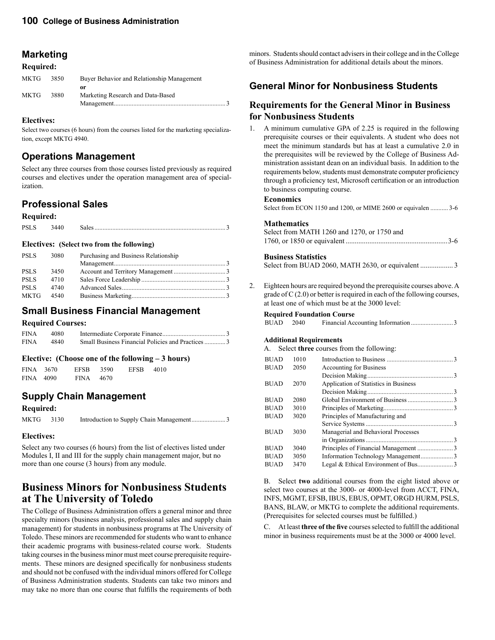### **Marketing**

#### **Required:**

| MKTG | 3850 | Buyer Behavior and Relationship Management |  |
|------|------|--------------------------------------------|--|
| MKTG | 3880 | or<br>Marketing Research and Data-Based    |  |

#### **Electives:**

Select two courses (6 hours) from the courses listed for the marketing specialization, except MKTG 4940.

### **Operations Management**

Select any three courses from those courses listed previously as required courses and electives under the operation management area of specialization.

### **Professional Sales**

#### **Required:**

|  | <b>PSI</b> |  |  |
|--|------------|--|--|
|--|------------|--|--|

#### **Electives: (Select two from the following)**

| <b>PSLS</b> | 3080 | Purchasing and Business Relationship |  |
|-------------|------|--------------------------------------|--|
|             |      |                                      |  |
| <b>PSLS</b> | 3450 |                                      |  |
| <b>PSLS</b> | 4710 |                                      |  |
| <b>PSLS</b> | 4740 |                                      |  |
| MKTG        | 4540 |                                      |  |

### **Small Business Financial Management**

#### **Required Courses:**

| <b>FINA</b> | 4080 |  |
|-------------|------|--|
| <b>FINA</b> | 4840 |  |

#### **Elective: (Choose one of the following – 3 hours)**

| FINA 3670 | EFSB 3590     | EFSB 4010 |  |
|-----------|---------------|-----------|--|
| FINA 4090 | $FINA = 4670$ |           |  |

### **Supply Chain Management**

#### **Required:**

```
MKTG 3130 Introduction to Supply Chain Management .....................3
```
### **Electives:**

Select any two courses (6 hours) from the list of electives listed under Modules I, II and III for the supply chain management major, but no more than one course (3 hours) from any module.

## **Business Minors for Nonbusiness Students at The University of Toledo**

The College of Business Administration offers a general minor and three specialty minors (business analysis, professional sales and supply chain management) for students in nonbusiness programs at The University of Toledo. These minors are recommended for students who want to enhance their academic programs with business-related course work. Students taking courses in the business minor must meet course prerequisite requirements. These minors are designed specifically for nonbusiness students and should not be confused with the individual minors offered for College of Business Administration students. Students can take two minors and may take no more than one course that fulfills the requirements of both

minors. Students should contact advisers in their college and in the College of Business Administration for additional details about the minors.

## **General Minor for Nonbusiness Students**

### **Requirements for the General Minor in Business for Nonbusiness Students**

1. A minimum cumulative GPA of 2.25 is required in the following prerequisite courses or their equivalents. A student who does not meet the minimum standards but has at least a cumulative 2.0 in the prerequisites will be reviewed by the College of Business Administration assistant dean on an individual basis. In addition to the requirements below, students must demonstrate computer proficiency through a proficiency test, Microsoft certification or an introduction to business computing course.

#### **Economics**

Select from ECON 1150 and 1200, or MIME 2600 or equivalen ........... 3-6

#### **Mathematics**

| Select from MATH 1260 and 1270, or 1750 and |  |
|---------------------------------------------|--|
|                                             |  |

#### **Business Statistics**

Select from BUAD 2060, MATH 2630, or equivalent .................. 3

2. Eighteen hours are required beyond the prerequisite courses above. A grade of C (2.0) or better is required in each of the following courses, at least one of which must be at the 3000 level:

#### **Required Foundation Course**

#### **Additional Requirements**

A. Select **three** courses from the following:

| <b>BUAD</b> | 1010 |                                       |  |
|-------------|------|---------------------------------------|--|
| <b>BUAD</b> | 2050 | <b>Accounting for Business</b>        |  |
|             |      |                                       |  |
| <b>BUAD</b> | 2070 | Application of Statistics in Business |  |
|             |      |                                       |  |
| <b>BUAD</b> | 2080 |                                       |  |
| <b>BUAD</b> | 3010 |                                       |  |
| <b>BUAD</b> | 3020 | Principles of Manufacturing and       |  |
|             |      |                                       |  |
| <b>BUAD</b> | 3030 | Managerial and Behavioral Processes   |  |
|             |      |                                       |  |
| <b>BUAD</b> | 3040 |                                       |  |
| <b>BUAD</b> | 3050 | Information Technology Management3    |  |
| <b>BUAD</b> | 3470 |                                       |  |
|             |      |                                       |  |

 B. Select **two** additional courses from the eight listed above or select two courses at the 3000- or 4000-level from ACCT, FINA, INFS, MGMT, EFSB, IBUS, EBUS, OPMT, ORGD HURM, PSLS, BANS, BLAW, or MKTG to complete the additional requirements. (Prerequisites for selected courses must be fulfilled.)

 C. At least **three of the five** courses selected to fulfill the additional minor in business requirements must be at the 3000 or 4000 level.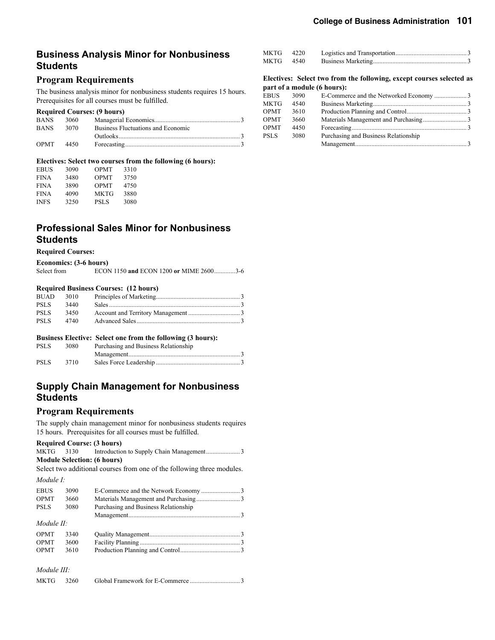### **Business Analysis Minor for Nonbusiness Students**

### **Program Requirements**

The business analysis minor for nonbusiness students requires 15 hours. Prerequisites for all courses must be fulfilled.

#### **Required Courses: (9 hours)**

| <b>BANS</b>   | 3060 |                                    |
|---------------|------|------------------------------------|
| <b>BANS</b>   | 3070 | Business Fluctuations and Economic |
|               |      |                                    |
| $OPMT = 4450$ |      |                                    |

#### **Electives: Select two courses from the following (6 hours):**

| 3090 | <b>OPMT</b> | 3310 |
|------|-------------|------|
| 3480 | <b>OPMT</b> | 3750 |
| 3890 | <b>OPMT</b> | 4750 |
| 4090 | MKTG        | 3880 |
| 3250 | PSL S       | 3080 |
|      |             |      |

### **Professional Sales Minor for Nonbusiness Students**

#### **Required Courses:**

| Economics: (3-6 hours) |  |
|------------------------|--|
|------------------------|--|

| Select from |  | ECON 1150 and ECON 1200 or MIME 26003-6 |  |
|-------------|--|-----------------------------------------|--|

#### **Required Business Courses: (12 hours)**

| <b>BUAD</b> | 3010 |  |
|-------------|------|--|
| <b>PSLS</b> | 3440 |  |
| <b>PSLS</b> | 3450 |  |
| <b>PSLS</b> | 4740 |  |
|             |      |  |

#### **Business Elective: Select one from the following (3 hours):**

| <b>PSLS</b> | 3080 | Purchasing and Business Relationship |  |
|-------------|------|--------------------------------------|--|
|             |      |                                      |  |
| <b>PSLS</b> | 3710 |                                      |  |

### **Supply Chain Management for Nonbusiness Students**

#### **Program Requirements**

The supply chain management minor for nonbusiness students requires 15 hours. Prerequisites for all courses must be fulfilled.

#### **Required Course: (3 hours)**

MKTG 3130 Introduction to Supply Chain Management.........................3 **Module Selection: (6 hours)**

Select two additional courses from one of the following three modules. *Module I:*

| <b>EBUS</b> | 3090 |                                      |  |
|-------------|------|--------------------------------------|--|
| <b>OPMT</b> | 3660 |                                      |  |
| <b>PSLS</b> | 3080 | Purchasing and Business Relationship |  |
|             |      |                                      |  |
| Module II:  |      |                                      |  |
| <b>OPMT</b> | 3340 |                                      |  |
| <b>OPMT</b> | 3600 |                                      |  |
| <b>OPMT</b> | 3610 |                                      |  |
|             |      |                                      |  |
|             |      |                                      |  |

#### *Module III:*

| MKTG | 3260 |  |  |
|------|------|--|--|
|------|------|--|--|

|           |      | Electives: Select two from the following, except courses selected as |  |
|-----------|------|----------------------------------------------------------------------|--|
| MKTG      | 4540 |                                                                      |  |
| MKTG 4220 |      |                                                                      |  |

#### **part of a module (6 hours):**

| EBUS        | 3090 |                                      |  |
|-------------|------|--------------------------------------|--|
| MKTG        | 4540 |                                      |  |
| OPMT        | 3610 |                                      |  |
| OPMT        | 3660 |                                      |  |
| OPMT        | 4450 |                                      |  |
| <b>PSLS</b> | 3080 | Purchasing and Business Relationship |  |
|             |      |                                      |  |
|             |      |                                      |  |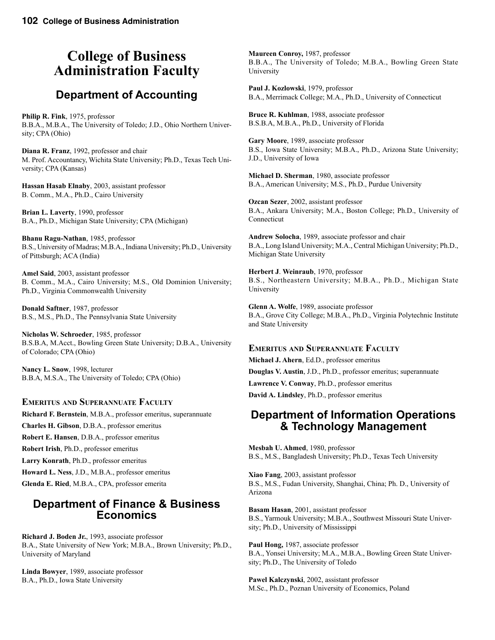## **College of Business Administration Faculty**

## **Department of Accounting**

**Philip R. Fink**, 1975, professor B.B.A., M.B.A., The University of Toledo; J.D., Ohio Northern University; CPA (Ohio)

**Diana R. Franz**, 1992, professor and chair M. Prof. Accountancy, Wichita State University; Ph.D., Texas Tech University; CPA (Kansas)

**Hassan Hasab Elnaby**, 2003, assistant professor B. Comm., M.A., Ph.D., Cairo University

**Brian L. Laverty**, 1990, professor B.A., Ph.D., Michigan State University; CPA (Michigan)

**Bhanu Ragu-Nathan**, 1985, professor B.S., University of Madras; M.B.A., Indiana University; Ph.D., University of Pittsburgh; ACA (India)

**Amel Said**, 2003, assistant professor B. Comm., M.A., Cairo University; M.S., Old Dominion University; Ph.D., Virginia Commonwealth University

**Donald Saftner**, 1987, professor B.S., M.S., Ph.D., The Pennsylvania State University

**Nicholas W. Schroeder**, 1985, professor B.S.B.A, M.Acct., Bowling Green State University; D.B.A., University of Colorado; CPA (Ohio)

**Nancy L. Snow**, 1998, lecturer B.B.A, M.S.A., The University of Toledo; CPA (Ohio)

#### **EMERITUS AND SUPERANNUATE FACULTY**

**Richard F. Bernstein**, M.B.A., professor emeritus, superannuate **Charles H. Gibson**, D.B.A., professor emeritus **Robert E. Hansen**, D.B.A., professor emeritus **Robert Irish**, Ph.D., professor emeritus **Larry Konrath**, Ph.D., professor emeritus **Howard L. Ness**, J.D., M.B.A., professor emeritus **Glenda E. Ried**, M.B.A., CPA, professor emerita

### **Department of Finance & Business Economics**

**Richard J. Boden Jr.**, 1993, associate professor B.A., State University of New York; M.B.A., Brown University; Ph.D., University of Maryland

**Linda Bowyer**, 1989, associate professor B.A., Ph.D., Iowa State University

**Maureen Conroy,** 1987, professor B.B.A., The University of Toledo; M.B.A., Bowling Green State University

**Paul J. Kozlowski**, 1979, professor B.A., Merrimack College; M.A., Ph.D., University of Connecticut

**Bruce R. Kuhlman**, 1988, associate professor B.S.B.A, M.B.A., Ph.D., University of Florida

**Gary Moore**, 1989, associate professor B.S., Iowa State University; M.B.A., Ph.D., Arizona State University; J.D., University of Iowa

**Michael D. Sherman**, 1980, associate professor B.A., American University; M.S., Ph.D., Purdue University

**Ozcan Sezer**, 2002, assistant professor B.A., Ankara University; M.A., Boston College; Ph.D., University of Connecticut

**Andrew Solocha**, 1989, associate professor and chair B.A., Long Island University; M.A., Central Michigan University; Ph.D., Michigan State University

**Herbert J**. **Weinraub**, 1970, professor B.S., Northeastern University; M.B.A., Ph.D., Michigan State University

**Glenn A. Wolfe**, 1989, associate professor B.A., Grove City College; M.B.A., Ph.D., Virginia Polytechnic Institute and State University

#### **EMERITUS AND SUPERANNUATE FACULTY**

**Michael J. Ahern**, Ed.D., professor emeritus

**Douglas V. Austin**, J.D., Ph.D., professor emeritus; superannuate

**Lawrence V. Conway**, Ph.D., professor emeritus

**David A. Lindsley**, Ph.D., professor emeritus

### **Department of Information Operations & Technology Management**

**Mesbah U. Ahmed**, 1980, professor B.S., M.S., Bangladesh University; Ph.D., Texas Tech University

**Xiao Fang**, 2003, assistant professor B.S., M.S., Fudan University, Shanghai, China; Ph. D., University of Arizona

**Basam Hasan**, 2001, assistant professor B.S., Yarmouk University; M.B.A., Southwest Missouri State University; Ph.D., University of Mississippi

**Paul Hong,** 1987, associate professor B.A., Yonsei University; M.A., M.B.A., Bowling Green State University; Ph.D., The University of Toledo

**Pawel Kalczynski**, 2002, assistant professor M.Sc., Ph.D., Poznan University of Economics, Poland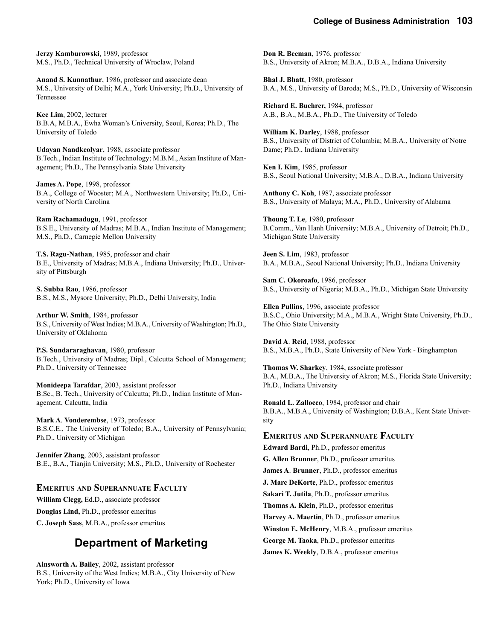**Jerzy Kamburowski**, 1989, professor M.S., Ph.D., Technical University of Wroclaw, Poland

**Anand S. Kunnathur**, 1986, professor and associate dean M.S., University of Delhi; M.A., York University; Ph.D., University of Tennessee

**Kee Lim**, 2002, lecturer B.B.A, M.B.A., Ewha Woman's University, Seoul, Korea; Ph.D., The University of Toledo

**Udayan Nandkeolyar**, 1988, associate professor B.Tech., Indian Institute of Technology; M.B.M., Asian Institute of Management; Ph.D., The Pennsylvania State University

**James A. Pope**, 1998, professor B.A., College of Wooster; M.A., Northwestern University; Ph.D., University of North Carolina

**Ram Rachamadugu**, 1991, professor B.S.E., University of Madras; M.B.A., Indian Institute of Management; M.S., Ph.D., Carnegie Mellon University

**T.S. Ragu-Nathan**, 1985, professor and chair B.E., University of Madras; M.B.A., Indiana University; Ph.D., University of Pittsburgh

**S. Subba Rao**, 1986, professor B.S., M.S., Mysore University; Ph.D., Delhi University, India

**Arthur W. Smith**, 1984, professor B.S., University of West Indies; M.B.A., University of Washington; Ph.D., University of Oklahoma

**P.S. Sundararaghavan**, 1980, professor B.Tech., University of Madras; Dipl., Calcutta School of Management; Ph.D., University of Tennessee

**Monideepa Tarafdar**, 2003, assistant professor B.Sc., B. Tech., University of Calcutta; Ph.D., Indian Institute of Management, Calcutta, India

**Mark A**. **Vonderembse**, 1973, professor B.S.C.E., The University of Toledo; B.A., University of Pennsylvania; Ph.D., University of Michigan

**Jennifer Zhang**, 2003, assistant professor B.E., B.A., Tianjin University; M.S., Ph.D., University of Rochester

### **EMERITUS AND SUPERANNUATE FACULTY**

**William Clegg,** Ed.D., associate professor **Douglas Lind,** Ph.D., professor emeritus **C. Joseph Sass**, M.B.A., professor emeritus

## **Department of Marketing**

**Ainsworth A. Bailey**, 2002, assistant professor B.S., University of the West Indies; M.B.A., City University of New York; Ph.D., University of Iowa

**Don R. Beeman**, 1976, professor B.S., University of Akron; M.B.A., D.B.A., Indiana University

**Bhal J. Bhatt**, 1980, professor B.A., M.S., University of Baroda; M.S., Ph.D., University of Wisconsin

**Richard E. Buehrer,** 1984, professor A.B., B.A., M.B.A., Ph.D., The University of Toledo

**William K. Darley**, 1988, professor B.S., University of District of Columbia; M.B.A., University of Notre Dame; Ph.D., Indiana University

**Ken I. Kim**, 1985, professor B.S., Seoul National University; M.B.A., D.B.A., Indiana University

**Anthony C. Koh**, 1987, associate professor B.S., University of Malaya; M.A., Ph.D., University of Alabama

**Thoung T. Le**, 1980, professor B.Comm., Van Hanh University; M.B.A., University of Detroit; Ph.D., Michigan State University

**Jeen S. Lim**, 1983, professor B.A., M.B.A., Seoul National University; Ph.D., Indiana University

**Sam C. Okoroafo**, 1986, professor B.S., University of Nigeria; M.B.A., Ph.D., Michigan State University

**Ellen Pullins**, 1996, associate professor B.S.C., Ohio University; M.A., M.B.A., Wright State University, Ph.D., The Ohio State University

**David A**. **Reid**, 1988, professor B.S., M.B.A., Ph.D., State University of New York - Binghampton

**Thomas W. Sharkey**, 1984, associate professor B.A., M.B.A., The University of Akron; M.S., Florida State University; Ph.D., Indiana University

**Ronald L. Zallocco**, 1984, professor and chair B.B.A., M.B.A., University of Washington; D.B.A., Kent State University

**EMERITUS AND SUPERANNUATE FACULTY**

**Edward Bardi**, Ph.D., professor emeritus **G. Allen Brunner**, Ph.D., professor emeritus **James A**. **Brunner**, Ph.D., professor emeritus **J. Marc DeKorte**, Ph.D., professor emeritus **Sakari T. Jutila**, Ph.D., professor emeritus **Thomas A. Klein**, Ph.D., professor emeritus **Harvey A. Maertin**, Ph.D., professor emeritus **Winston E. McHenry**, M.B.A., professor emeritus **George M. Taoka**, Ph.D., professor emeritus **James K. Weekly**, D.B.A., professor emeritus